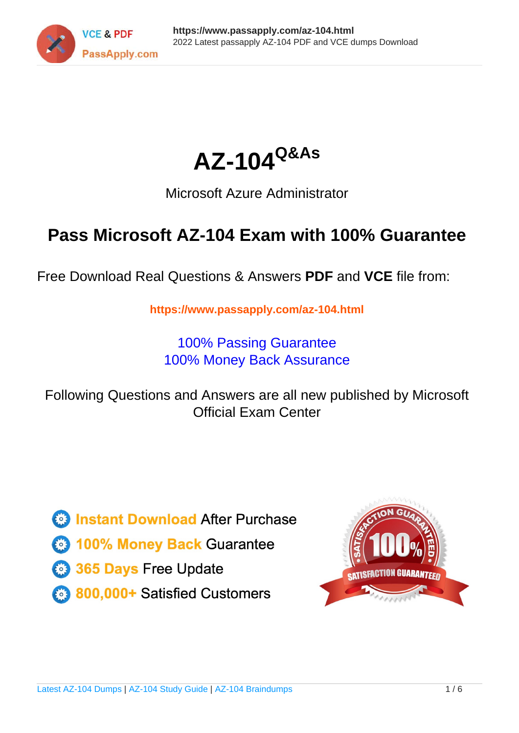



## Microsoft Azure Administrator

## **Pass Microsoft AZ-104 Exam with 100% Guarantee**

Free Download Real Questions & Answers **PDF** and **VCE** file from:

**https://www.passapply.com/az-104.html**

100% Passing Guarantee 100% Money Back Assurance

Following Questions and Answers are all new published by Microsoft Official Exam Center

**C** Instant Download After Purchase

- **83 100% Money Back Guarantee**
- 365 Days Free Update
- 800,000+ Satisfied Customers

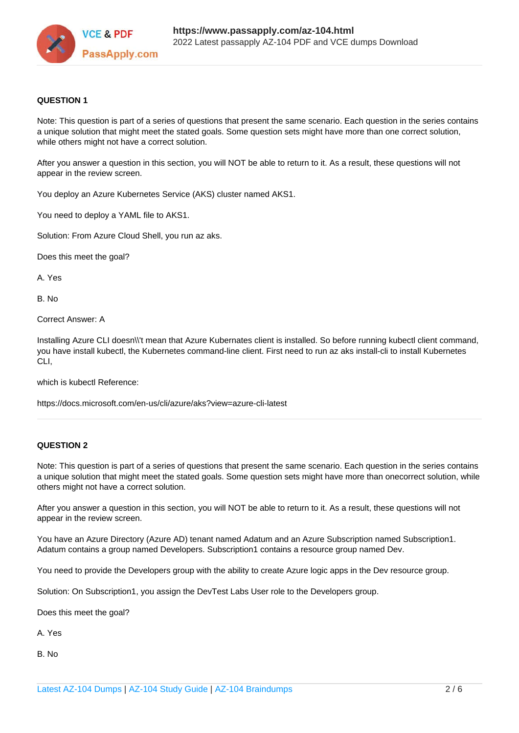

#### **QUESTION 1**

Note: This question is part of a series of questions that present the same scenario. Each question in the series contains a unique solution that might meet the stated goals. Some question sets might have more than one correct solution, while others might not have a correct solution.

After you answer a question in this section, you will NOT be able to return to it. As a result, these questions will not appear in the review screen.

You deploy an Azure Kubernetes Service (AKS) cluster named AKS1.

You need to deploy a YAML file to AKS1.

Solution: From Azure Cloud Shell, you run az aks.

Does this meet the goal?

A. Yes

B. No

Correct Answer: A

Installing Azure CLI doesn\\'t mean that Azure Kubernates client is installed. So before running kubectl client command, you have install kubectl, the Kubernetes command-line client. First need to run az aks install-cli to install Kubernetes CLI,

which is kubectl Reference:

https://docs.microsoft.com/en-us/cli/azure/aks?view=azure-cli-latest

#### **QUESTION 2**

Note: This question is part of a series of questions that present the same scenario. Each question in the series contains a unique solution that might meet the stated goals. Some question sets might have more than onecorrect solution, while others might not have a correct solution.

After you answer a question in this section, you will NOT be able to return to it. As a result, these questions will not appear in the review screen.

You have an Azure Directory (Azure AD) tenant named Adatum and an Azure Subscription named Subscription1. Adatum contains a group named Developers. Subscription1 contains a resource group named Dev.

You need to provide the Developers group with the ability to create Azure logic apps in the Dev resource group.

Solution: On Subscription1, you assign the DevTest Labs User role to the Developers group.

Does this meet the goal?

A. Yes

B. No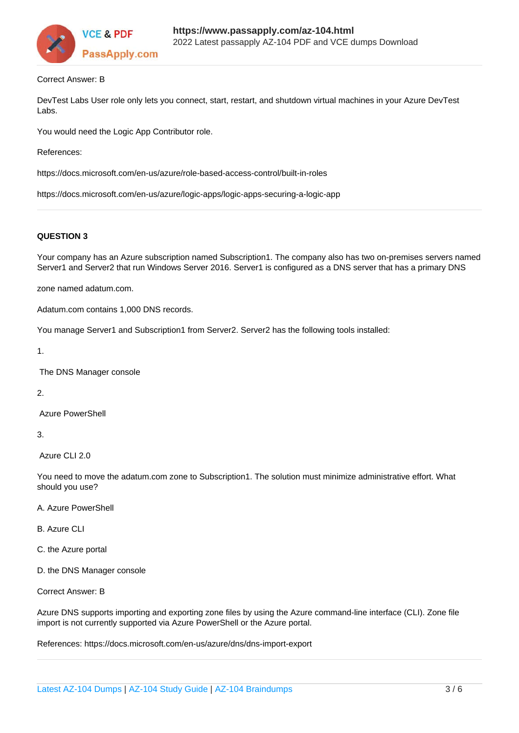

#### Correct Answer: B

DevTest Labs User role only lets you connect, start, restart, and shutdown virtual machines in your Azure DevTest Labs.

You would need the Logic App Contributor role.

References:

https://docs.microsoft.com/en-us/azure/role-based-access-control/built-in-roles

https://docs.microsoft.com/en-us/azure/logic-apps/logic-apps-securing-a-logic-app

#### **QUESTION 3**

Your company has an Azure subscription named Subscription1. The company also has two on-premises servers named Server1 and Server2 that run Windows Server 2016. Server1 is configured as a DNS server that has a primary DNS

zone named adatum.com.

Adatum.com contains 1,000 DNS records.

You manage Server1 and Subscription1 from Server2. Server2 has the following tools installed:

1.

The DNS Manager console

2.

Azure PowerShell

3.

Azure CLI 2.0

You need to move the adatum.com zone to Subscription1. The solution must minimize administrative effort. What should you use?

- A. Azure PowerShell
- B. Azure CLI
- C. the Azure portal
- D. the DNS Manager console

Correct Answer: B

Azure DNS supports importing and exporting zone files by using the Azure command-line interface (CLI). Zone file import is not currently supported via Azure PowerShell or the Azure portal.

References: https://docs.microsoft.com/en-us/azure/dns/dns-import-export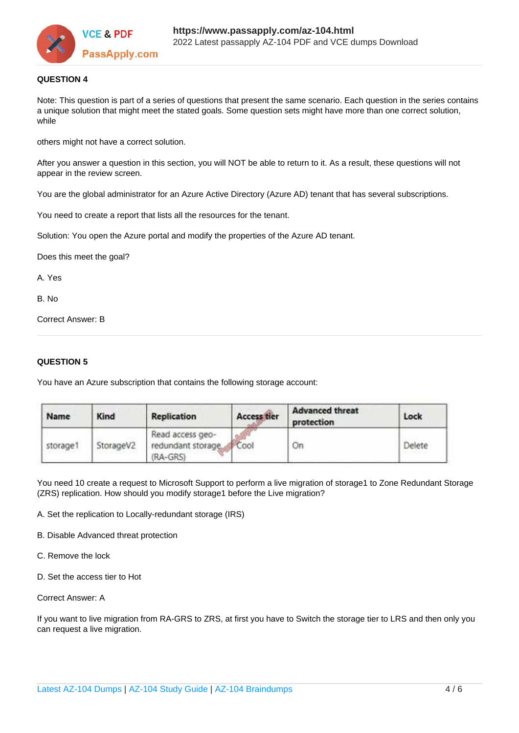

#### **QUESTION 4**

Note: This question is part of a series of questions that present the same scenario. Each question in the series contains a unique solution that might meet the stated goals. Some question sets might have more than one correct solution, while

others might not have a correct solution.

After you answer a question in this section, you will NOT be able to return to it. As a result, these questions will not appear in the review screen.

You are the global administrator for an Azure Active Directory (Azure AD) tenant that has several subscriptions.

You need to create a report that lists all the resources for the tenant.

Solution: You open the Azure portal and modify the properties of the Azure AD tenant.

Does this meet the goal?

A. Yes

B. No

Correct Answer: B

#### **QUESTION 5**

You have an Azure subscription that contains the following storage account:

| Name     | Kind      | <b>Replication</b>                                      | <b>Access tier</b> | <b>Advanced threat</b><br>protection | Lock   |
|----------|-----------|---------------------------------------------------------|--------------------|--------------------------------------|--------|
| storage1 | StorageV2 | Read access geo-<br>redundant storage. Cool<br>(RA-GRS) |                    | Οn                                   | Delete |

You need 10 create a request to Microsoft Support to perform a live migration of storage1 to Zone Redundant Storage (ZRS) replication. How should you modify storage1 before the Live migration?

A. Set the replication to Locally-redundant storage (IRS)

B. Disable Advanced threat protection

- C. Remove the lock
- D. Set the access tier to Hot

Correct Answer: A

If you want to live migration from RA-GRS to ZRS, at first you have to Switch the storage tier to LRS and then only you can request a live migration.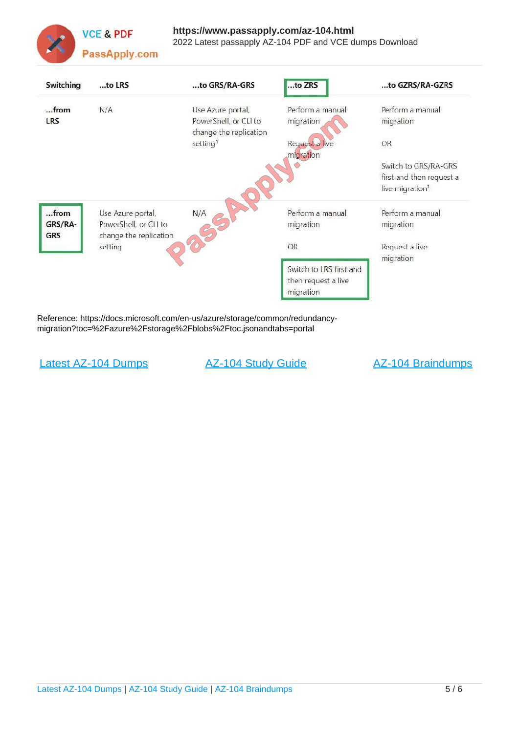

| Switching  | to LRS                            | to GRS/RA-GRS                                   | to ZRS                      | to GZRS/RA-GZRS             |
|------------|-----------------------------------|-------------------------------------------------|-----------------------------|-----------------------------|
| $$ from    | N/A                               | Use Azure portal,                               | Perform a manual            | Perform a manual            |
| <b>LRS</b> |                                   | PowerShell, or CLI to<br>change the replication | migration                   | migration                   |
|            |                                   | setting <sup>1</sup>                            | Request a live<br>migration | <b>OR</b>                   |
|            |                                   |                                                 |                             | Switch to GRS/RA-GRS        |
|            |                                   |                                                 |                             | first and then request a    |
|            |                                   |                                                 |                             | live migration <sup>1</sup> |
| from       | Use Azure portal,                 | N/A                                             | Perform a manual            | Perform a manual            |
| GRS/RA-    | PowerShell, or CLI to             |                                                 | migration                   | migration                   |
| <b>GRS</b> | change the replication<br>setting |                                                 | OR                          | Request a live              |
|            |                                   |                                                 |                             | migration                   |
|            |                                   |                                                 | Switch to LRS first and     |                             |
|            |                                   |                                                 | then request a live         |                             |
|            |                                   |                                                 | migration                   |                             |

Reference: https://docs.microsoft.com/en-us/azure/storage/common/redundancymigration?toc=%2Fazure%2Fstorage%2Fblobs%2Ftoc.jsonandtabs=portal

[Latest AZ-104 Dumps](https://www.passapply.com/az-104.html) [AZ-104 Study Guide](https://www.passapply.com/az-104.html) [AZ-104 Braindumps](https://www.passapply.com/az-104.html)